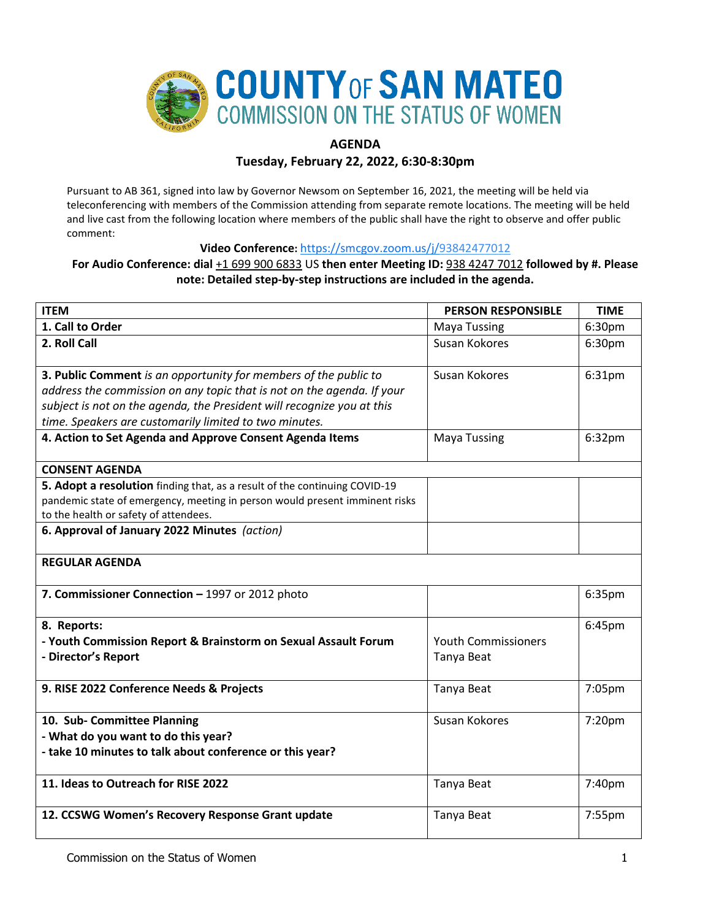

# **AGENDA**

**Tuesday, February 22, 2022, 6:30-8:30pm**

Pursuant to AB 361, signed into law by Governor Newsom on September 16, 2021, the meeting will be held via teleconferencing with members of the Commission attending from separate remote locations. The meeting will be held and live cast from the following location where members of the public shall have the right to observe and offer public comment:

**Video Conference:** [https://smcgov.zoom.us/j/93842477012](https://smcgov.zoom.us/j/97114897287)

## **For Audio Conference: dial** +1 699 900 6833 US **then enter Meeting ID:** 938 4247 7012 **followed by #. Please note: Detailed step-by-step instructions are included in the agenda.**

| <b>ITEM</b>                                                                 | <b>PERSON RESPONSIBLE</b>  | <b>TIME</b> |
|-----------------------------------------------------------------------------|----------------------------|-------------|
| 1. Call to Order                                                            | <b>Maya Tussing</b>        | 6:30pm      |
| 2. Roll Call                                                                | Susan Kokores              | 6:30pm      |
|                                                                             |                            |             |
| 3. Public Comment is an opportunity for members of the public to            | Susan Kokores              | 6:31pm      |
| address the commission on any topic that is not on the agenda. If your      |                            |             |
| subject is not on the agenda, the President will recognize you at this      |                            |             |
| time. Speakers are customarily limited to two minutes.                      |                            |             |
| 4. Action to Set Agenda and Approve Consent Agenda Items                    | <b>Maya Tussing</b>        | 6:32pm      |
|                                                                             |                            |             |
| <b>CONSENT AGENDA</b>                                                       |                            |             |
| 5. Adopt a resolution finding that, as a result of the continuing COVID-19  |                            |             |
| pandemic state of emergency, meeting in person would present imminent risks |                            |             |
| to the health or safety of attendees.                                       |                            |             |
| 6. Approval of January 2022 Minutes (action)                                |                            |             |
|                                                                             |                            |             |
| <b>REGULAR AGENDA</b>                                                       |                            |             |
| 7. Commissioner Connection - 1997 or 2012 photo                             |                            | 6:35pm      |
|                                                                             |                            |             |
| 8. Reports:                                                                 |                            | 6:45pm      |
| - Youth Commission Report & Brainstorm on Sexual Assault Forum              | <b>Youth Commissioners</b> |             |
| - Director's Report                                                         | Tanya Beat                 |             |
|                                                                             |                            |             |
| 9. RISE 2022 Conference Needs & Projects                                    | Tanya Beat                 | 7:05pm      |
|                                                                             |                            |             |
| 10. Sub- Committee Planning                                                 | Susan Kokores              | 7:20pm      |
| - What do you want to do this year?                                         |                            |             |
| - take 10 minutes to talk about conference or this year?                    |                            |             |
|                                                                             |                            |             |
| 11. Ideas to Outreach for RISE 2022                                         | Tanya Beat                 | 7:40pm      |
|                                                                             |                            |             |
| 12. CCSWG Women's Recovery Response Grant update                            | Tanya Beat                 | 7:55pm      |
|                                                                             |                            |             |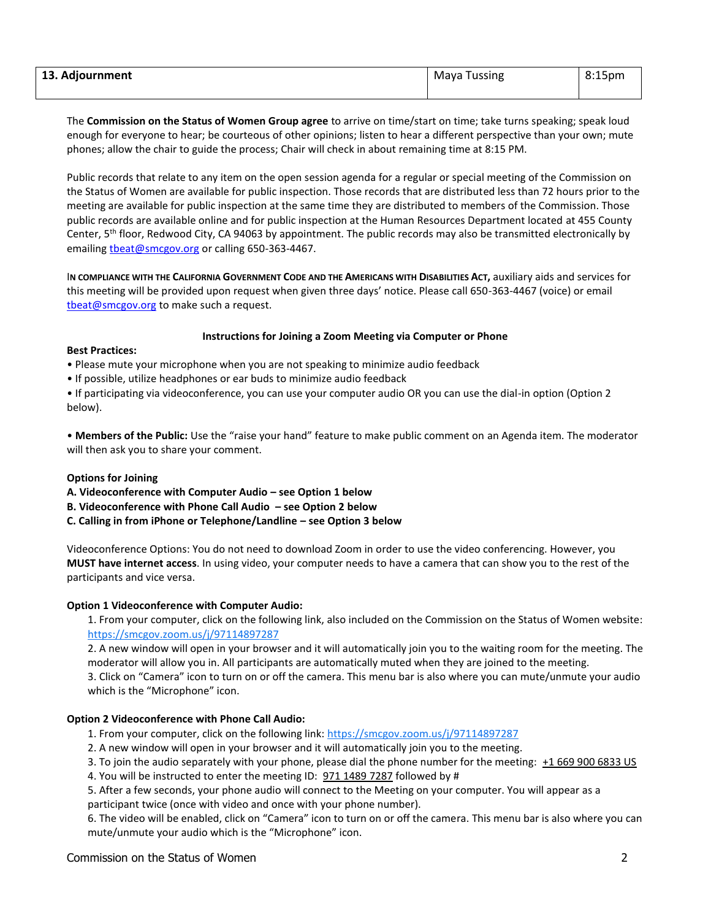| 13. Adjournment | <b>Maya Tussing</b> | 8:15 <sub>pm</sub> |
|-----------------|---------------------|--------------------|
|                 |                     |                    |

The **Commission on the Status of Women Group agree** to arrive on time/start on time; take turns speaking; speak loud enough for everyone to hear; be courteous of other opinions; listen to hear a different perspective than your own; mute phones; allow the chair to guide the process; Chair will check in about remaining time at 8:15 PM.

Public records that relate to any item on the open session agenda for a regular or special meeting of the Commission on the Status of Women are available for public inspection. Those records that are distributed less than 72 hours prior to the meeting are available for public inspection at the same time they are distributed to members of the Commission. Those public records are available online and for public inspection at the Human Resources Department located at 455 County Center, 5<sup>th</sup> floor, Redwood City, CA 94063 by appointment. The public records may also be transmitted electronically by emailin[g tbeat@smcgov.org](mailto:tbeat@smcgov.org) or calling 650-363-4467.

I**N COMPLIANCE WITH THE CALIFORNIA GOVERNMENT CODE AND THE AMERICANS WITH DISABILITIES ACT,** auxiliary aids and services for this meeting will be provided upon request when given three days' notice. Please call 650-363-4467 (voice) or email [tbeat@smcgov.org](mailto:tbeat@smcgov.org) to make such a request.

#### **Instructions for Joining a Zoom Meeting via Computer or Phone**

#### **Best Practices:**

• Please mute your microphone when you are not speaking to minimize audio feedback

• If possible, utilize headphones or ear buds to minimize audio feedback

• If participating via videoconference, you can use your computer audio OR you can use the dial-in option (Option 2 below).

• **Members of the Public:** Use the "raise your hand" feature to make public comment on an Agenda item. The moderator will then ask you to share your comment.

## **Options for Joining**

- **A. Videoconference with Computer Audio – see Option 1 below**
- **B. Videoconference with Phone Call Audio – see Option 2 below**
- **C. Calling in from iPhone or Telephone/Landline – see Option 3 below**

Videoconference Options: You do not need to download Zoom in order to use the video conferencing. However, you **MUST have internet access**. In using video, your computer needs to have a camera that can show you to the rest of the participants and vice versa.

## **Option 1 Videoconference with Computer Audio:**

1. From your computer, click on the following link, also included on the Commission on the Status of Women website: <https://smcgov.zoom.us/j/97114897287>

2. A new window will open in your browser and it will automatically join you to the waiting room for the meeting. The moderator will allow you in. All participants are automatically muted when they are joined to the meeting. 3. Click on "Camera" icon to turn on or off the camera. This menu bar is also where you can mute/unmute your audio which is the "Microphone" icon.

## **Option 2 Videoconference with Phone Call Audio:**

- 1. From your computer, click on the following link:<https://smcgov.zoom.us/j/97114897287>
- 2. A new window will open in your browser and it will automatically join you to the meeting.
- 3. To join the audio separately with your phone, please dial the phone number for the meeting: +1 669 900 6833 US
- 4. You will be instructed to enter the meeting ID: 971 1489 7287 followed by #

5. After a few seconds, your phone audio will connect to the Meeting on your computer. You will appear as a participant twice (once with video and once with your phone number).

6. The video will be enabled, click on "Camera" icon to turn on or off the camera. This menu bar is also where you can mute/unmute your audio which is the "Microphone" icon.